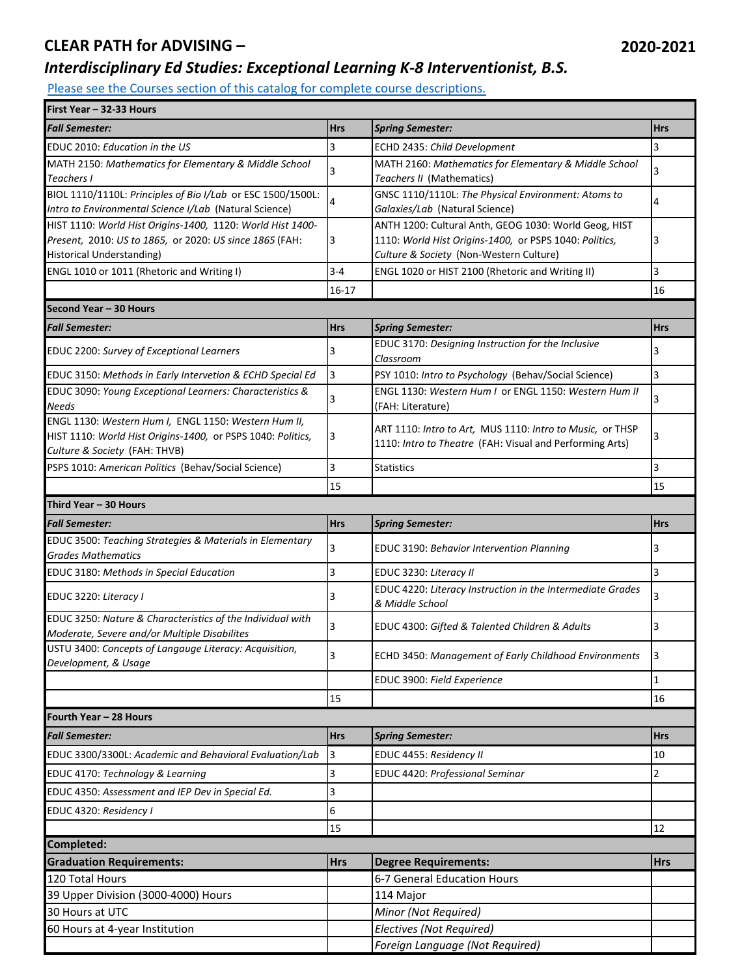## **CLEAR PATH for ADVISING –**

## *Interdisciplinary Ed Studies: Exceptional Learning K-8 Interventionist, B.S.*

[Please see the Courses section of this catalog for co](http://catalog.utc.edu/)mplete course descriptions.

| First Year - 32-33 Hours                                                                                   |              |                                                                 |              |
|------------------------------------------------------------------------------------------------------------|--------------|-----------------------------------------------------------------|--------------|
| <b>Fall Semester:</b>                                                                                      | <b>Hrs</b>   | <b>Spring Semester:</b>                                         | <b>Hrs</b>   |
| EDUC 2010: Education in the US                                                                             | 3            | ECHD 2435: Child Development                                    | 3            |
| MATH 2150: Mathematics for Elementary & Middle School                                                      | 3            | MATH 2160: Mathematics for Elementary & Middle School           | 3            |
| Teachers I                                                                                                 |              | Teachers II (Mathematics)                                       |              |
| BIOL 1110/1110L: Principles of Bio I/Lab or ESC 1500/1500L:                                                | 4            | GNSC 1110/1110L: The Physical Environment: Atoms to             | 4            |
| Intro to Environmental Science I/Lab (Natural Science)                                                     |              | Galaxies/Lab (Natural Science)                                  |              |
| HIST 1110: World Hist Origins-1400, 1120: World Hist 1400-                                                 |              | ANTH 1200: Cultural Anth, GEOG 1030: World Geog, HIST           |              |
| Present, 2010: US to 1865, or 2020: US since 1865 (FAH:                                                    | 3            | 1110: World Hist Origins-1400, or PSPS 1040: Politics,          | 3            |
| <b>Historical Understanding)</b>                                                                           |              | Culture & Society (Non-Western Culture)                         |              |
| ENGL 1010 or 1011 (Rhetoric and Writing I)                                                                 | $3 - 4$      | ENGL 1020 or HIST 2100 (Rhetoric and Writing II)                | 3            |
|                                                                                                            | $16 - 17$    |                                                                 | 16           |
| Second Year - 30 Hours                                                                                     |              |                                                                 |              |
| <b>Fall Semester:</b>                                                                                      | <b>Hrs</b>   | <b>Spring Semester:</b>                                         | <b>Hrs</b>   |
| EDUC 2200: Survey of Exceptional Learners                                                                  | 3            | EDUC 3170: Designing Instruction for the Inclusive<br>Classroom | 3            |
| EDUC 3150: Methods in Early Intervetion & ECHD Special Ed                                                  | 3            | PSY 1010: Intro to Psychology (Behav/Social Science)            | 3            |
| EDUC 3090: Young Exceptional Learners: Characteristics &                                                   | 3            | ENGL 1130: Western Hum I or ENGL 1150: Western Hum II           | 3            |
| <b>Needs</b>                                                                                               |              | (FAH: Literature)                                               |              |
| ENGL 1130: Western Hum I, ENGL 1150: Western Hum II,                                                       |              | ART 1110: Intro to Art, MUS 1110: Intro to Music, or THSP       |              |
| HIST 1110: World Hist Origins-1400, or PSPS 1040: Politics,                                                |              | 1110: Intro to Theatre (FAH: Visual and Performing Arts)        |              |
| Culture & Society (FAH: THVB)                                                                              |              |                                                                 |              |
| PSPS 1010: American Politics (Behav/Social Science)                                                        | 3            | <b>Statistics</b>                                               | 3            |
|                                                                                                            | 15           |                                                                 | 15           |
| Third Year - 30 Hours                                                                                      |              |                                                                 |              |
| <b>Fall Semester:</b>                                                                                      | <b>Hrs</b>   | <b>Spring Semester:</b>                                         | <b>Hrs</b>   |
| EDUC 3500: Teaching Strategies & Materials in Elementary<br><b>Grades Mathematics</b>                      | 3            | EDUC 3190: Behavior Intervention Planning                       | 3            |
| <b>EDUC 3180: Methods in Special Education</b>                                                             | 3            | EDUC 3230: Literacy II                                          | 3            |
| EDUC 3220: Literacy I                                                                                      | 3            | EDUC 4220: Literacy Instruction in the Intermediate Grades      | 3            |
|                                                                                                            |              | & Middle School                                                 |              |
| EDUC 3250: Nature & Characteristics of the Individual with<br>Moderate, Severe and/or Multiple Disabilites | 3            | EDUC 4300: Gifted & Talented Children & Adults                  | 3            |
| USTU 3400: Concepts of Langauge Literacy: Acquisition,<br>Development, & Usage                             | $\mathbf{R}$ | ECHD 3450: Management of Early Childhood Environments           | 3            |
|                                                                                                            |              | EDUC 3900: Field Experience                                     | $\mathbf{1}$ |
|                                                                                                            | 15           |                                                                 | 16           |
|                                                                                                            |              |                                                                 |              |
| Fourth Year - 28 Hours                                                                                     |              |                                                                 |              |
| <b>Fall Semester:</b>                                                                                      | <b>Hrs</b>   | <b>Spring Semester:</b>                                         | <b>Hrs</b>   |
| EDUC 3300/3300L: Academic and Behavioral Evaluation/Lab                                                    | 3            | EDUC 4455: Residency II                                         | 10           |
| EDUC 4170: Technology & Learning                                                                           | 3            | EDUC 4420: Professional Seminar                                 | 2            |
| EDUC 4350: Assessment and IEP Dev in Special Ed.                                                           | 3            |                                                                 |              |
| EDUC 4320: Residency I                                                                                     | 6            |                                                                 |              |
|                                                                                                            | 15           |                                                                 | 12           |
| Completed:                                                                                                 |              |                                                                 |              |
| <b>Graduation Requirements:</b>                                                                            | <b>Hrs</b>   | <b>Degree Requirements:</b>                                     | <b>Hrs</b>   |
| 120 Total Hours                                                                                            |              | 6-7 General Education Hours                                     |              |
| 39 Upper Division (3000-4000) Hours                                                                        |              | 114 Major                                                       |              |
| 30 Hours at UTC                                                                                            |              | Minor (Not Required)                                            |              |
| 60 Hours at 4-year Institution                                                                             |              | Electives (Not Required)                                        |              |
|                                                                                                            |              | Foreign Language (Not Required)                                 |              |